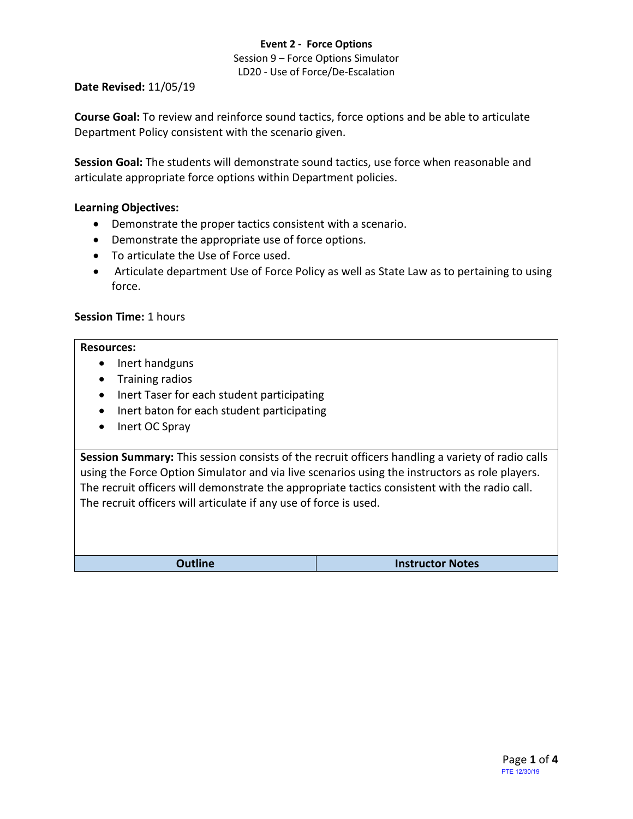### **Event 2 - Force Options**

Session 9 – Force Options Simulator LD20 - Use of Force/De-Escalation

**Date Revised:** 11/05/19

**Course Goal:** To review and reinforce sound tactics, force options and be able to articulate Department Policy consistent with the scenario given.

**Session Goal:** The students will demonstrate sound tactics, use force when reasonable and articulate appropriate force options within Department policies.

# **Learning Objectives:**

- Demonstrate the proper tactics consistent with a scenario.
- Demonstrate the appropriate use of force options.
- To articulate the Use of Force used.
- Articulate department Use of Force Policy as well as State Law as to pertaining to using force.

# **Session Time:** 1 hours

#### **Resources:**

- Inert handguns
- Training radios
- Inert Taser for each student participating
- Inert baton for each student participating
- Inert OC Spray

**Session Summary:** This session consists of the recruit officers handling a variety of radio calls using the Force Option Simulator and via live scenarios using the instructors as role players. The recruit officers will demonstrate the appropriate tactics consistent with the radio call. The recruit officers will articulate if any use of force is used.

**Outline Instructor Notes**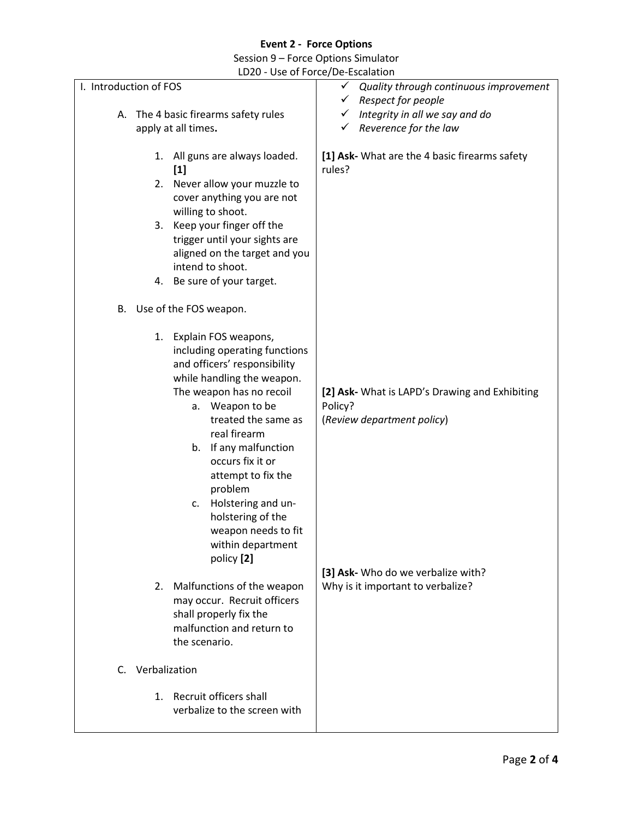# **Event 2 - Force Options**

Session 9 – Force Options Simulator

LD20 - Use of Force/De-Escalation

| I. Introduction of FOS               |                                                                                                                                                                                                                                                                                                                                                                                                       | $\checkmark$<br>Quality through continuous improvement                                                                        |
|--------------------------------------|-------------------------------------------------------------------------------------------------------------------------------------------------------------------------------------------------------------------------------------------------------------------------------------------------------------------------------------------------------------------------------------------------------|-------------------------------------------------------------------------------------------------------------------------------|
|                                      |                                                                                                                                                                                                                                                                                                                                                                                                       | $\checkmark$<br>Respect for people                                                                                            |
| A. The 4 basic firearms safety rules |                                                                                                                                                                                                                                                                                                                                                                                                       | Integrity in all we say and do<br>✓                                                                                           |
| apply at all times.                  |                                                                                                                                                                                                                                                                                                                                                                                                       | Reverence for the law<br>✓                                                                                                    |
| $[1]$                                | 1. All guns are always loaded.                                                                                                                                                                                                                                                                                                                                                                        | [1] Ask- What are the 4 basic firearms safety<br>rules?                                                                       |
| 2.                                   | Never allow your muzzle to                                                                                                                                                                                                                                                                                                                                                                            |                                                                                                                               |
|                                      | cover anything you are not                                                                                                                                                                                                                                                                                                                                                                            |                                                                                                                               |
|                                      | willing to shoot.                                                                                                                                                                                                                                                                                                                                                                                     |                                                                                                                               |
|                                      | 3. Keep your finger off the                                                                                                                                                                                                                                                                                                                                                                           |                                                                                                                               |
|                                      | trigger until your sights are                                                                                                                                                                                                                                                                                                                                                                         |                                                                                                                               |
|                                      | aligned on the target and you                                                                                                                                                                                                                                                                                                                                                                         |                                                                                                                               |
|                                      | intend to shoot.                                                                                                                                                                                                                                                                                                                                                                                      |                                                                                                                               |
|                                      | 4. Be sure of your target.                                                                                                                                                                                                                                                                                                                                                                            |                                                                                                                               |
| B. Use of the FOS weapon.            |                                                                                                                                                                                                                                                                                                                                                                                                       |                                                                                                                               |
|                                      | 1. Explain FOS weapons,<br>including operating functions<br>and officers' responsibility<br>while handling the weapon.<br>The weapon has no recoil<br>a. Weapon to be<br>treated the same as<br>real firearm<br>b. If any malfunction<br>occurs fix it or<br>attempt to fix the<br>problem<br>Holstering and un-<br>c.<br>holstering of the<br>weapon needs to fit<br>within department<br>policy [2] | [2] Ask- What is LAPD's Drawing and Exhibiting<br>Policy?<br>(Review department policy)<br>[3] Ask- Who do we verbalize with? |
| 2.                                   | Malfunctions of the weapon<br>may occur. Recruit officers<br>shall properly fix the<br>malfunction and return to<br>the scenario.                                                                                                                                                                                                                                                                     | Why is it important to verbalize?                                                                                             |
| Verbalization<br>$C_{1}$             |                                                                                                                                                                                                                                                                                                                                                                                                       |                                                                                                                               |
| 1.                                   | Recruit officers shall<br>verbalize to the screen with                                                                                                                                                                                                                                                                                                                                                |                                                                                                                               |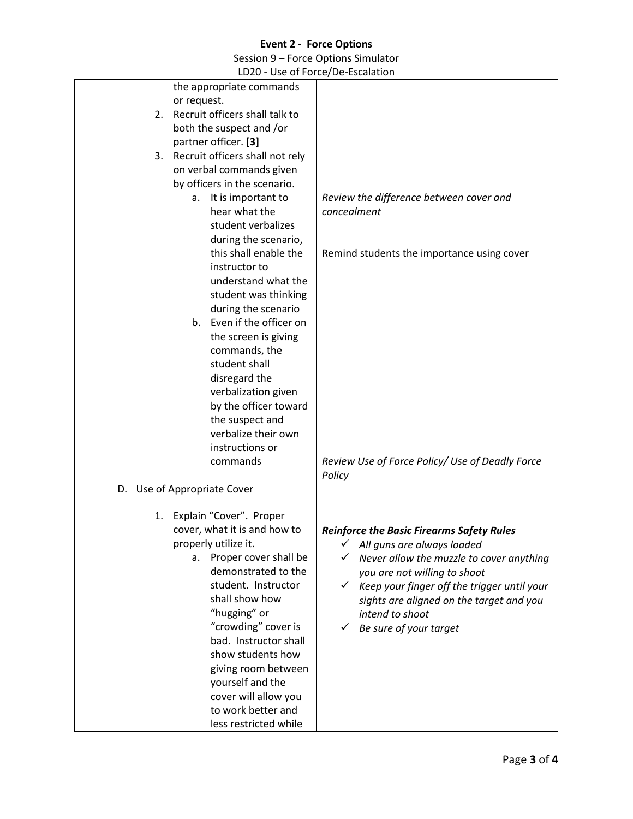# **Event 2 - Force Options**

Session 9 – Force Options Simulator

LD20 - Use of Force/De-Escalation

|                                    | $\frac{1}{2}$                                    |
|------------------------------------|--------------------------------------------------|
| the appropriate commands           |                                                  |
| or request.                        |                                                  |
| 2. Recruit officers shall talk to  |                                                  |
| both the suspect and /or           |                                                  |
|                                    |                                                  |
| partner officer. [3]               |                                                  |
| 3. Recruit officers shall not rely |                                                  |
| on verbal commands given           |                                                  |
| by officers in the scenario.       |                                                  |
| It is important to<br>а.           | Review the difference between cover and          |
| hear what the                      | concealment                                      |
| student verbalizes                 |                                                  |
|                                    |                                                  |
| during the scenario,               |                                                  |
| this shall enable the              | Remind students the importance using cover       |
| instructor to                      |                                                  |
| understand what the                |                                                  |
| student was thinking               |                                                  |
| during the scenario                |                                                  |
| b. Even if the officer on          |                                                  |
| the screen is giving               |                                                  |
| commands, the                      |                                                  |
|                                    |                                                  |
| student shall                      |                                                  |
| disregard the                      |                                                  |
| verbalization given                |                                                  |
| by the officer toward              |                                                  |
| the suspect and                    |                                                  |
| verbalize their own                |                                                  |
| instructions or                    |                                                  |
|                                    |                                                  |
| commands                           | Review Use of Force Policy/ Use of Deadly Force  |
|                                    | Policy                                           |
| D. Use of Appropriate Cover        |                                                  |
|                                    |                                                  |
| Explain "Cover". Proper<br>1.      |                                                  |
| cover, what it is and how to       | <b>Reinforce the Basic Firearms Safety Rules</b> |
| properly utilize it.               | All guns are always loaded                       |
| Proper cover shall be<br>а.        |                                                  |
| demonstrated to the                | Never allow the muzzle to cover anything         |
|                                    | you are not willing to shoot                     |
| student. Instructor                | Keep your finger off the trigger until your      |
| shall show how                     | sights are aligned on the target and you         |
| "hugging" or                       | intend to shoot                                  |
| "crowding" cover is                | Be sure of your target                           |
| bad. Instructor shall              |                                                  |
| show students how                  |                                                  |
| giving room between                |                                                  |
|                                    |                                                  |
| yourself and the                   |                                                  |
| cover will allow you               |                                                  |
| to work better and                 |                                                  |
| less restricted while              |                                                  |